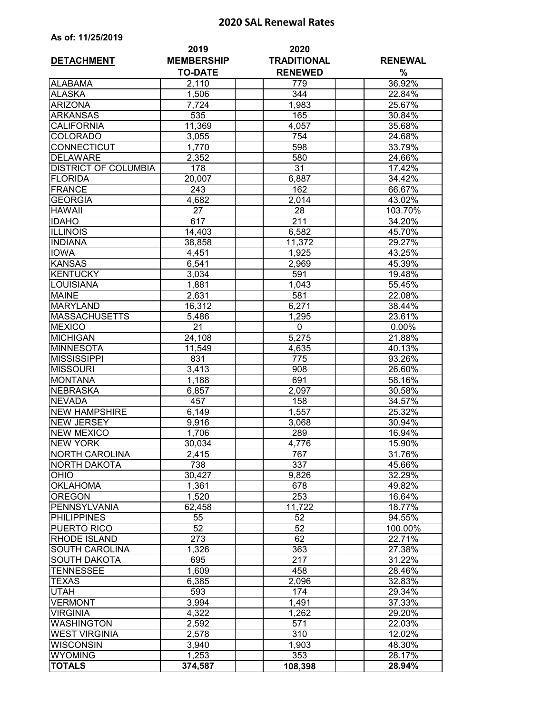## **2020 SAL Renewal Rates**

| As of: 11/25/2019 |  |  |  |  |  |
|-------------------|--|--|--|--|--|
|-------------------|--|--|--|--|--|

| <b>DETACHMENT</b>                | 2019<br><b>MEMBERSHIP</b> | 2020<br><b>TRADITIONAL</b> | <b>RENEWAL</b>   |
|----------------------------------|---------------------------|----------------------------|------------------|
|                                  | <b>TO-DATE</b>            | <b>RENEWED</b>             | %                |
| <b>ALABAMA</b>                   | 2,110                     | 779                        | 36.92%           |
| <b>ALASKA</b>                    | 1,506                     | $\overline{344}$           | 22.84%           |
| <b>ARIZONA</b>                   | 7,724                     | 1,983                      | 25.67%           |
| <b>ARKANSAS</b>                  | 535                       | 165                        | 30.84%           |
| <b>CALIFORNIA</b>                | 11,369                    | 4,057                      | 35.68%           |
| <b>COLORADO</b>                  | 3,055                     | 754                        | 24.68%           |
| CONNECTICUT                      | 1,770                     | 598                        | 33.79%           |
| <b>DELAWARE</b>                  | 2,352                     | 580                        | 24.66%           |
| <b>DISTRICT OF COLUMBIA</b>      | 178                       | $\overline{31}$            | 17.42%           |
| <b>FLORIDA</b>                   | 20,007                    | 6,887                      | 34.42%           |
| <b>FRANCE</b>                    | 243                       | 162                        | 66.67%           |
| <b>GEORGIA</b>                   | 4,682                     | 2,014                      | 43.02%           |
| <b>HAWAII</b>                    | $\overline{2}$ 7          | 28                         | 103.70%          |
| <b>IDAHO</b>                     | 617                       | 211                        | 34.20%           |
| <b>ILLINOIS</b>                  | 14,403                    | 6,582                      | 45.70%           |
| <b>INDIANA</b>                   | 38,858                    | 11,372                     | 29.27%           |
| <b>IOWA</b>                      | 4,451                     | 1,925                      | 43.25%           |
| <b>KANSAS</b>                    | 6,541                     | 2,969                      | 45.39%           |
| <b>KENTUCKY</b>                  | 3,034                     | 591                        | 19.48%           |
| LOUISIANA                        | 1,881                     | 1,043                      | 55.45%           |
| <b>MAINE</b>                     | 2,631                     | 581                        | 22.08%           |
| <b>MARYLAND</b>                  | 16,312                    | 6,271                      | 38.44%           |
| <b>MASSACHUSETTS</b>             | 5,486                     | 1,295                      | 23.61%           |
| <b>MEXICO</b>                    | $\overline{21}$           | 0                          | 0.00%            |
| <b>MICHIGAN</b>                  | 24,108                    | 5,275                      | 21.88%           |
| <b>MINNESOTA</b>                 | 11,549                    | 4,635                      | 40.13%           |
| <b>MISSISSIPPI</b>               | 831                       | $\overline{775}$           | 93.26%           |
| <b>MISSOURI</b>                  | 3,413                     | 908                        | 26.60%           |
| <b>MONTANA</b>                   | 1,188                     | 691                        | 58.16%           |
| <b>NEBRASKA</b>                  | 6,857                     | 2,097                      | 30.58%           |
| <b>NEVADA</b>                    | 457                       | 158                        | 34.57%           |
| <b>NEW HAMPSHIRE</b>             | 6,149                     | 1,557                      | 25.32%           |
| <b>NEW JERSEY</b>                | 9,916                     | 3,068                      | 30.94%           |
| <b>NEW MEXICO</b>                | 1,706                     | 289                        | 16.94%           |
| <b>NEW YORK</b>                  | 30,034                    | 4,776                      | 15.90%           |
| <b>NORTH CAROLINA</b>            | 2,415                     | 767                        | 31.76%           |
| NORTH DAKOTA                     | 738                       | 337                        | 45.66%           |
| OHIO                             | 30,427                    | 9,826                      | 32.29%           |
| <b>OKLAHOMA</b><br><b>OREGON</b> | 1,361<br>1,520            | 678<br>253                 | 49.82%<br>16.64% |
| <b>PENNSYLVANIA</b>              |                           | $\overline{11,722}$        | 18.77%           |
| <b>PHILIPPINES</b>               | 62,458<br>55              | 52                         | 94.55%           |
| PUERTO RICO                      | 52                        | 52                         | 100.00%          |
| RHODE ISLAND                     | 273                       | 62                         | 22.71%           |
| <b>SOUTH CAROLINA</b>            | 1,326                     | 363                        | 27.38%           |
| <b>SOUTH DAKOTA</b>              | 695                       | 217                        | 31.22%           |
| TENNESSEE                        | 1,609                     | 458                        | 28.46%           |
| TEXAS                            | 6,385                     | 2,096                      | 32.83%           |
| UTAH                             | 593                       | 174                        | 29.34%           |
| <b>VERMONT</b>                   | 3,994                     | 1,491                      | 37.33%           |
| <b>VIRGINIA</b>                  | 4,322                     | 1,262                      | 29.20%           |
| <b>WASHINGTON</b>                | 2,592                     | 571                        | 22.03%           |
| <b>WEST VIRGINIA</b>             | 2,578                     | $\overline{310}$           | 12.02%           |
| WISCONSIN                        | 3,940                     | 1,903                      | 48.30%           |
| <b>WYOMING</b>                   | 1,253                     | 353                        | 28.17%           |
| <b>TOTALS</b>                    | 374,587                   | 108,398                    | 28.94%           |